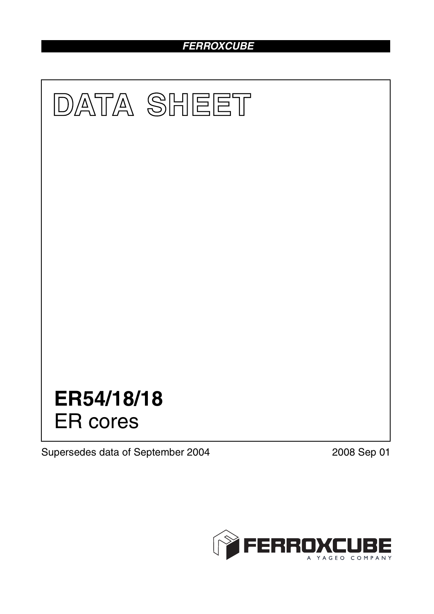# *FERROXCUBE*



Supersedes data of September 2004 2008 Sep 01

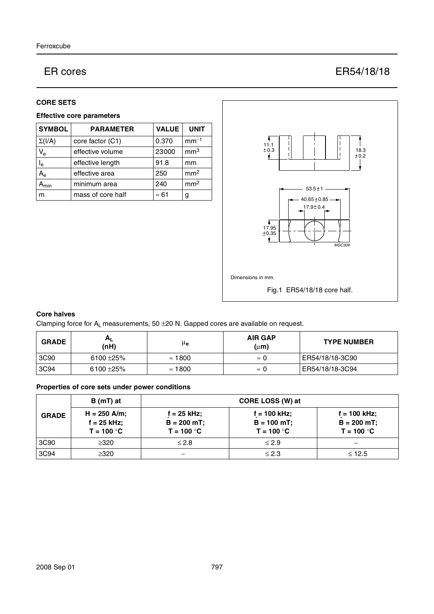## ER cores **ER54/18/18**

#### **CORE SETS**

### **Effective core parameters**

| <b>SYMBOL</b>             | <b>PARAMETER</b>  | <b>VALUE</b> | <b>UNIT</b>     |
|---------------------------|-------------------|--------------|-----------------|
| $\Sigma(I/A)$             | core factor (C1)  | 0.370        | $mm-1$          |
| $V_{e}$                   | effective volume  | 23000        | mm <sup>3</sup> |
| $I_e$                     | effective length  | 91.8         | mm              |
| $\mathsf{A}_{\mathsf{e}}$ | effective area    | 250          | mm <sup>2</sup> |
| Amin                      | minimum area      | 240          | mm <sup>2</sup> |
| m                         | mass of core half | $\approx 61$ | g               |



#### **Core halves**

Clamping force for  $A_L$  measurements, 50  $\pm$ 20 N. Gapped cores are available on request.

| <b>GRADE</b> | $A_L$<br>(nH)  | μe             | <b>AIR GAP</b><br>$(\mu m)$ | <b>TYPE NUMBER</b> |
|--------------|----------------|----------------|-----------------------------|--------------------|
| 3C90         | 6100 $\pm$ 25% | $\approx$ 1800 | $\approx 0$                 | ER54/18/18-3C90    |
| 3C94         | $6100 + 25%$   | $\approx$ 1800 | $\approx 0$                 | ER54/18/18-3C94    |

#### **Properties of core sets under power conditions**

|              | B (mT) at                                       |                                                 | CORE LOSS (W) at                                 |                                                |
|--------------|-------------------------------------------------|-------------------------------------------------|--------------------------------------------------|------------------------------------------------|
| <b>GRADE</b> | $H = 250$ A/m;<br>$f = 25$ kHz;<br>$T = 100 °C$ | $f = 25$ kHz;<br>$B = 200 mT$ ;<br>$T = 100 °C$ | $f = 100$ kHz;<br>$B = 100 mT$ ;<br>$T = 100 °C$ | f = 100 kHz;<br>$B = 200 mT$ ;<br>$T = 100 °C$ |
| 3C90         | $\geq$ 320                                      | $≤ 2.8$                                         | $\leq 2.9$                                       |                                                |
| 3C94         | $\geq 320$                                      |                                                 | $\leq 2.3$                                       | $\leq$ 12.5                                    |